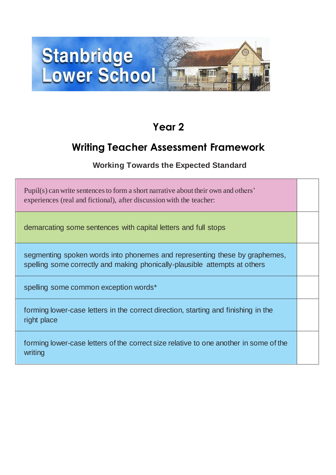

## **Year 2**

## **Writing Teacher Assessment Framework**

## **Working Towards the Expected Standard**

| Pupil(s) can write sentences to form a short narrative about their own and others'<br>experiences (real and fictional), after discussion with the teacher: |  |
|------------------------------------------------------------------------------------------------------------------------------------------------------------|--|
| demarcating some sentences with capital letters and full stops                                                                                             |  |
| segmenting spoken words into phonemes and representing these by graphemes,<br>spelling some correctly and making phonically-plausible attempts at others   |  |
| spelling some common exception words*                                                                                                                      |  |
| forming lower-case letters in the correct direction, starting and finishing in the<br>right place                                                          |  |
| forming lower-case letters of the correct size relative to one another in some of the<br>writing                                                           |  |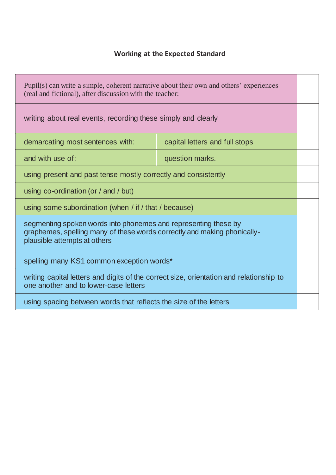| Pupil(s) can write a simple, coherent narrative about their own and others' experiences<br>(real and fictional), after discussion with the teacher:                         |                                |  |
|-----------------------------------------------------------------------------------------------------------------------------------------------------------------------------|--------------------------------|--|
| writing about real events, recording these simply and clearly                                                                                                               |                                |  |
| demarcating most sentences with:                                                                                                                                            | capital letters and full stops |  |
| and with use of:                                                                                                                                                            | question marks.                |  |
| using present and past tense mostly correctly and consistently                                                                                                              |                                |  |
| using $co$ -ordination (or / and / but)                                                                                                                                     |                                |  |
| using some subordination (when / if / that / because)                                                                                                                       |                                |  |
| segmenting spoken words into phonemes and representing these by<br>graphemes, spelling many of these words correctly and making phonically-<br>plausible attempts at others |                                |  |
| spelling many KS1 common exception words*                                                                                                                                   |                                |  |
| writing capital letters and digits of the correct size, orientation and relationship to<br>one another and to lower-case letters                                            |                                |  |
| using spacing between words that reflects the size of the letters                                                                                                           |                                |  |